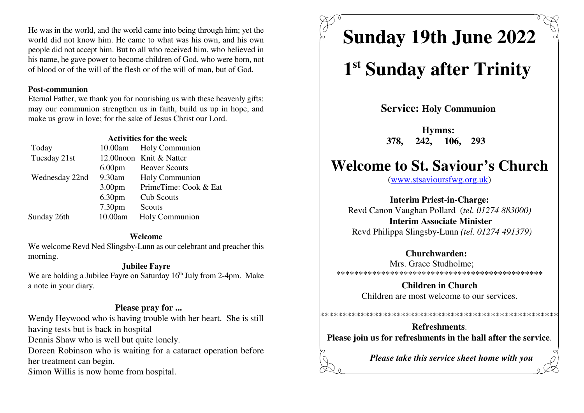He was in the world, and the world came into being through him; yet the world did not know him. He came to what was his own, and his own people did not accept him. But to all who received him, who believed in his name, he gave power to become children of God, who were born, notof blood or of the will of the flesh or of the will of man, but of God.

### **Post-communion**

 Eternal Father, we thank you for nourishing us with these heavenly gifts: may our communion strengthen us in faith, build us up in hope, andmake us grow in love; for the sake of Jesus Christ our Lord.

### **Activities for the week**

| Today          |                    | 10.00am Holy Communion   |
|----------------|--------------------|--------------------------|
| Tuesday 21st   |                    | 12.00 noon Knit & Natter |
|                | 6.00 <sub>pm</sub> | <b>Beaver Scouts</b>     |
| Wednesday 22nd | 9.30am             | Holy Communion           |
|                | 3.00 <sub>pm</sub> | PrimeTime: Cook & Eat    |
|                | 6.30pm             | <b>Cub Scouts</b>        |
|                | 7.30 <sub>pm</sub> | Scouts                   |
| Sunday 26th    | 10.00am            | Holy Communion           |
|                |                    |                          |

### **Welcome**

 We welcome Revd Ned Slingsby-Lunn as our celebrant and preacher thismorning.

### **Jubilee Fayre**

We are holding a Jubilee Fayre on Saturday  $16<sup>th</sup>$  July from 2-4pm. Make a note in your diary.

### **Please pray for ...**

 Wendy Heywood who is having trouble with her heart. She is stillhaving tests but is back in hospital

Dennis Shaw who is well but quite lonely.

Doreen Robinson who is waiting for a cataract operation beforeher treatment can begin.

Simon Willis is now home from hospital.

# **Sunday 19th June 2022**

## 1<sup>st</sup> Sunday after Trinity

**Service: Holy Communion** 

**Hymns: 378, 242, 106, 293** 

## **Welcome to St. Saviour's Church**

(www.stsavioursfwg.org.uk)

**Interim Priest-in-Charge:** Revd Canon Vaughan Pollard (*tel. 01274 883000)***Interim Associate Minister**Revd Philippa Slingsby-Lunn *(tel. 01274 491379)*

### **Churchwarden:**

Mrs. Grace Studholme; \*\*\*\*\*\*\*\*\*\*\*\*\*\*\*\*\*\*\*\*\*\*\*\*\*\*\*\*\*\***\*\*\*\*\*\*\*\*\*\*\*\*\*\*\*\***

> **Children in Church**Children are most welcome to our services.

### \*\*\*\*\*\*\*\*\*\*\*\*\*\*\*\*\*\*\*\*\*\*\*\*\*\*\*\*\*\*\*\*\*\*\*\*\*\*\*\*\*\*\*\*\*\*\*\*\*\*\*\*\***Refreshments**.

**Please join us for refreshments in the hall after the service**.

*Please take this service sheet home with you*